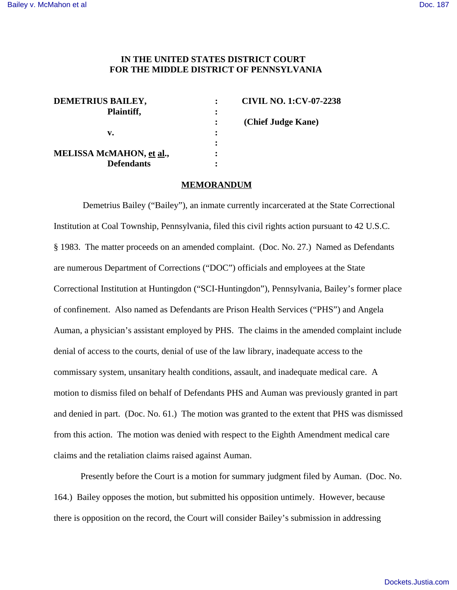# **IN THE UNITED STATES DISTRICT COURT FOR THE MIDDLE DISTRICT OF PENNSYLVANIA**

| DEMETRIUS BAILEY,               |   | <b>CIVIL NO. 1:CV-07-2238</b> |
|---------------------------------|---|-------------------------------|
| Plaintiff,                      |   |                               |
|                                 |   | (Chief Judge Kane)            |
| v.                              | ٠ |                               |
|                                 | ٠ |                               |
| <b>MELISSA McMAHON, et al.,</b> | ٠ |                               |
| <b>Defendants</b>               | ٠ |                               |

#### **MEMORANDUM**

 Demetrius Bailey ("Bailey"), an inmate currently incarcerated at the State Correctional Institution at Coal Township, Pennsylvania, filed this civil rights action pursuant to 42 U.S.C. § 1983. The matter proceeds on an amended complaint. (Doc. No. 27.) Named as Defendants are numerous Department of Corrections ("DOC") officials and employees at the State Correctional Institution at Huntingdon ("SCI-Huntingdon"), Pennsylvania, Bailey's former place of confinement. Also named as Defendants are Prison Health Services ("PHS") and Angela Auman, a physician's assistant employed by PHS. The claims in the amended complaint include denial of access to the courts, denial of use of the law library, inadequate access to the commissary system, unsanitary health conditions, assault, and inadequate medical care. A motion to dismiss filed on behalf of Defendants PHS and Auman was previously granted in part and denied in part. (Doc. No. 61.) The motion was granted to the extent that PHS was dismissed from this action. The motion was denied with respect to the Eighth Amendment medical care claims and the retaliation claims raised against Auman.

Presently before the Court is a motion for summary judgment filed by Auman. (Doc. No. 164.) Bailey opposes the motion, but submitted his opposition untimely. However, because there is opposition on the record, the Court will consider Bailey's submission in addressing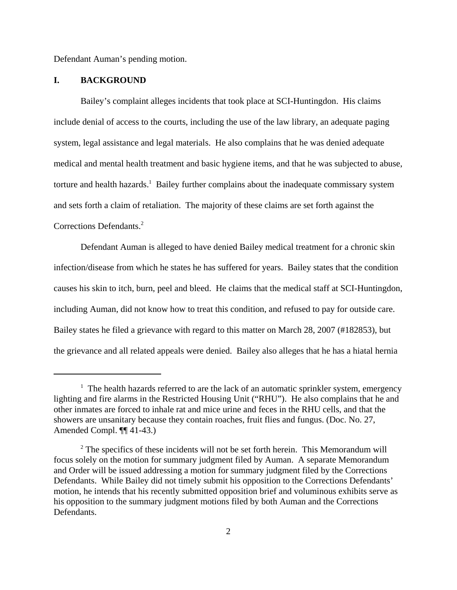Defendant Auman's pending motion.

# **I. BACKGROUND**

Bailey's complaint alleges incidents that took place at SCI-Huntingdon. His claims include denial of access to the courts, including the use of the law library, an adequate paging system, legal assistance and legal materials. He also complains that he was denied adequate medical and mental health treatment and basic hygiene items, and that he was subjected to abuse, torture and health hazards.<sup>1</sup> Bailey further complains about the inadequate commissary system and sets forth a claim of retaliation. The majority of these claims are set forth against the Corrections Defendants.<sup>2</sup>

Defendant Auman is alleged to have denied Bailey medical treatment for a chronic skin infection/disease from which he states he has suffered for years. Bailey states that the condition causes his skin to itch, burn, peel and bleed. He claims that the medical staff at SCI-Huntingdon, including Auman, did not know how to treat this condition, and refused to pay for outside care. Bailey states he filed a grievance with regard to this matter on March 28, 2007 (#182853), but the grievance and all related appeals were denied. Bailey also alleges that he has a hiatal hernia

<sup>&</sup>lt;sup>1</sup> The health hazards referred to are the lack of an automatic sprinkler system, emergency lighting and fire alarms in the Restricted Housing Unit ("RHU"). He also complains that he and other inmates are forced to inhale rat and mice urine and feces in the RHU cells, and that the showers are unsanitary because they contain roaches, fruit flies and fungus. (Doc. No. 27, Amended Compl. ¶¶ 41-43.)

 $2^2$  The specifics of these incidents will not be set forth herein. This Memorandum will focus solely on the motion for summary judgment filed by Auman. A separate Memorandum and Order will be issued addressing a motion for summary judgment filed by the Corrections Defendants. While Bailey did not timely submit his opposition to the Corrections Defendants' motion, he intends that his recently submitted opposition brief and voluminous exhibits serve as his opposition to the summary judgment motions filed by both Auman and the Corrections Defendants.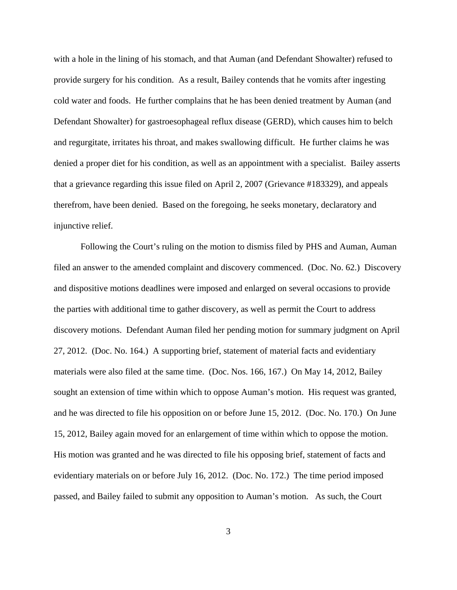with a hole in the lining of his stomach, and that Auman (and Defendant Showalter) refused to provide surgery for his condition. As a result, Bailey contends that he vomits after ingesting cold water and foods. He further complains that he has been denied treatment by Auman (and Defendant Showalter) for gastroesophageal reflux disease (GERD), which causes him to belch and regurgitate, irritates his throat, and makes swallowing difficult. He further claims he was denied a proper diet for his condition, as well as an appointment with a specialist. Bailey asserts that a grievance regarding this issue filed on April 2, 2007 (Grievance #183329), and appeals therefrom, have been denied. Based on the foregoing, he seeks monetary, declaratory and injunctive relief.

Following the Court's ruling on the motion to dismiss filed by PHS and Auman, Auman filed an answer to the amended complaint and discovery commenced. (Doc. No. 62.) Discovery and dispositive motions deadlines were imposed and enlarged on several occasions to provide the parties with additional time to gather discovery, as well as permit the Court to address discovery motions. Defendant Auman filed her pending motion for summary judgment on April 27, 2012. (Doc. No. 164.) A supporting brief, statement of material facts and evidentiary materials were also filed at the same time. (Doc. Nos. 166, 167.) On May 14, 2012, Bailey sought an extension of time within which to oppose Auman's motion. His request was granted, and he was directed to file his opposition on or before June 15, 2012. (Doc. No. 170.) On June 15, 2012, Bailey again moved for an enlargement of time within which to oppose the motion. His motion was granted and he was directed to file his opposing brief, statement of facts and evidentiary materials on or before July 16, 2012. (Doc. No. 172.) The time period imposed passed, and Bailey failed to submit any opposition to Auman's motion. As such, the Court

3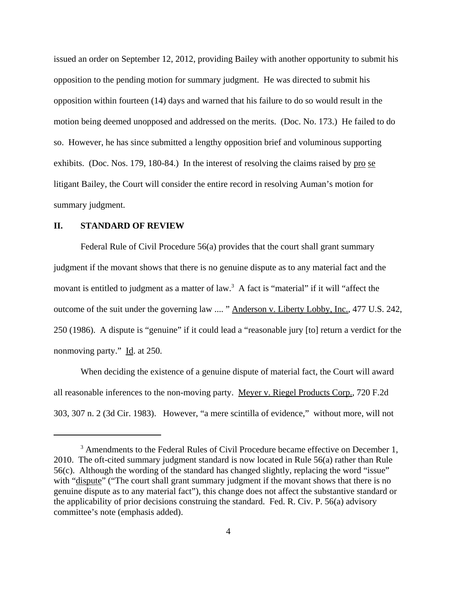issued an order on September 12, 2012, providing Bailey with another opportunity to submit his opposition to the pending motion for summary judgment. He was directed to submit his opposition within fourteen (14) days and warned that his failure to do so would result in the motion being deemed unopposed and addressed on the merits. (Doc. No. 173.) He failed to do so. However, he has since submitted a lengthy opposition brief and voluminous supporting exhibits. (Doc. Nos. 179, 180-84.) In the interest of resolving the claims raised by pro se litigant Bailey, the Court will consider the entire record in resolving Auman's motion for summary judgment.

### **II. STANDARD OF REVIEW**

Federal Rule of Civil Procedure 56(a) provides that the court shall grant summary judgment if the movant shows that there is no genuine dispute as to any material fact and the movant is entitled to judgment as a matter of law.<sup>3</sup> A fact is "material" if it will "affect the outcome of the suit under the governing law .... " Anderson v. Liberty Lobby, Inc., 477 U.S. 242, 250 (1986). A dispute is "genuine" if it could lead a "reasonable jury [to] return a verdict for the nonmoving party." Id. at 250.

When deciding the existence of a genuine dispute of material fact, the Court will award all reasonable inferences to the non-moving party. Meyer v. Riegel Products Corp., 720 F.2d 303, 307 n. 2 (3d Cir. 1983). However, "a mere scintilla of evidence," without more, will not

<sup>&</sup>lt;sup>3</sup> Amendments to the Federal Rules of Civil Procedure became effective on December 1, 2010. The oft-cited summary judgment standard is now located in Rule 56(a) rather than Rule 56(c). Although the wording of the standard has changed slightly, replacing the word "issue" with "dispute" ("The court shall grant summary judgment if the movant shows that there is no genuine dispute as to any material fact"), this change does not affect the substantive standard or the applicability of prior decisions construing the standard. Fed. R. Civ. P. 56(a) advisory committee's note (emphasis added).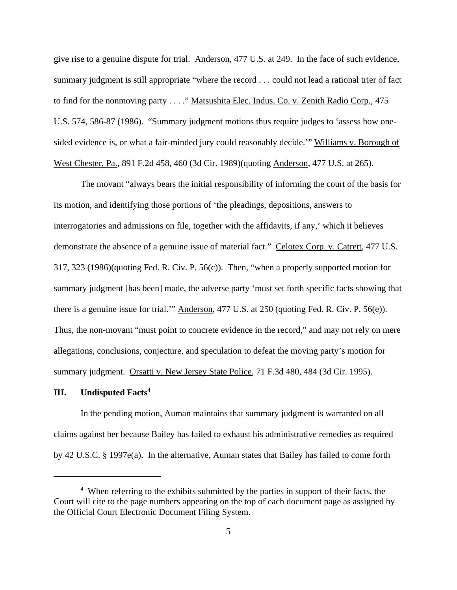give rise to a genuine dispute for trial. Anderson, 477 U.S. at 249. In the face of such evidence, summary judgment is still appropriate "where the record . . . could not lead a rational trier of fact to find for the nonmoving party . . . ." Matsushita Elec. Indus. Co. v. Zenith Radio Corp., 475 U.S. 574, 586-87 (1986). "Summary judgment motions thus require judges to 'assess how onesided evidence is, or what a fair-minded jury could reasonably decide." Williams v. Borough of West Chester, Pa., 891 F.2d 458, 460 (3d Cir. 1989)(quoting Anderson, 477 U.S. at 265).

The movant "always bears the initial responsibility of informing the court of the basis for its motion, and identifying those portions of 'the pleadings, depositions, answers to interrogatories and admissions on file, together with the affidavits, if any,' which it believes demonstrate the absence of a genuine issue of material fact." Celotex Corp. v. Catrett, 477 U.S. 317, 323 (1986)(quoting Fed. R. Civ. P. 56(c)). Then, "when a properly supported motion for summary judgment [has been] made, the adverse party 'must set forth specific facts showing that there is a genuine issue for trial.'" Anderson, 477 U.S. at 250 (quoting Fed. R. Civ. P. 56(e)). Thus, the non-movant "must point to concrete evidence in the record," and may not rely on mere allegations, conclusions, conjecture, and speculation to defeat the moving party's motion for summary judgment. Orsatti v. New Jersey State Police, 71 F.3d 480, 484 (3d Cir. 1995).

# **III. Undisputed Facts<sup>4</sup>**

In the pending motion, Auman maintains that summary judgment is warranted on all claims against her because Bailey has failed to exhaust his administrative remedies as required by 42 U.S.C. § 1997e(a). In the alternative, Auman states that Bailey has failed to come forth

<sup>&</sup>lt;sup>4</sup> When referring to the exhibits submitted by the parties in support of their facts, the Court will cite to the page numbers appearing on the top of each document page as assigned by the Official Court Electronic Document Filing System.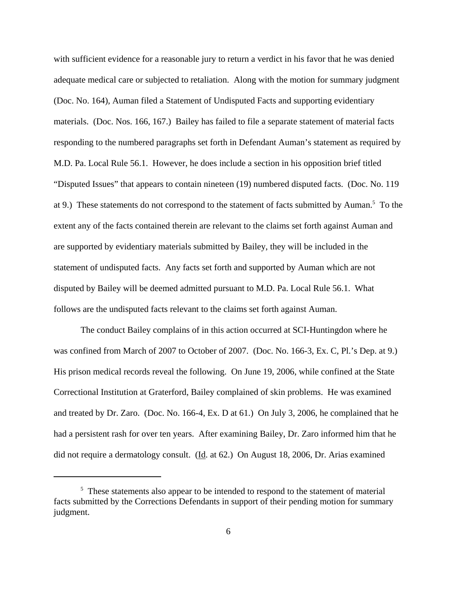with sufficient evidence for a reasonable jury to return a verdict in his favor that he was denied adequate medical care or subjected to retaliation. Along with the motion for summary judgment (Doc. No. 164), Auman filed a Statement of Undisputed Facts and supporting evidentiary materials. (Doc. Nos. 166, 167.) Bailey has failed to file a separate statement of material facts responding to the numbered paragraphs set forth in Defendant Auman's statement as required by M.D. Pa. Local Rule 56.1. However, he does include a section in his opposition brief titled "Disputed Issues" that appears to contain nineteen (19) numbered disputed facts. (Doc. No. 119 at 9.) These statements do not correspond to the statement of facts submitted by Auman.<sup>5</sup> To the extent any of the facts contained therein are relevant to the claims set forth against Auman and are supported by evidentiary materials submitted by Bailey, they will be included in the statement of undisputed facts. Any facts set forth and supported by Auman which are not disputed by Bailey will be deemed admitted pursuant to M.D. Pa. Local Rule 56.1. What follows are the undisputed facts relevant to the claims set forth against Auman.

The conduct Bailey complains of in this action occurred at SCI-Huntingdon where he was confined from March of 2007 to October of 2007. (Doc. No. 166-3, Ex. C, Pl.'s Dep. at 9.) His prison medical records reveal the following. On June 19, 2006, while confined at the State Correctional Institution at Graterford, Bailey complained of skin problems. He was examined and treated by Dr. Zaro. (Doc. No. 166-4, Ex. D at 61.) On July 3, 2006, he complained that he had a persistent rash for over ten years. After examining Bailey, Dr. Zaro informed him that he did not require a dermatology consult. (Id. at 62.) On August 18, 2006, Dr. Arias examined

<sup>&</sup>lt;sup>5</sup> These statements also appear to be intended to respond to the statement of material facts submitted by the Corrections Defendants in support of their pending motion for summary judgment.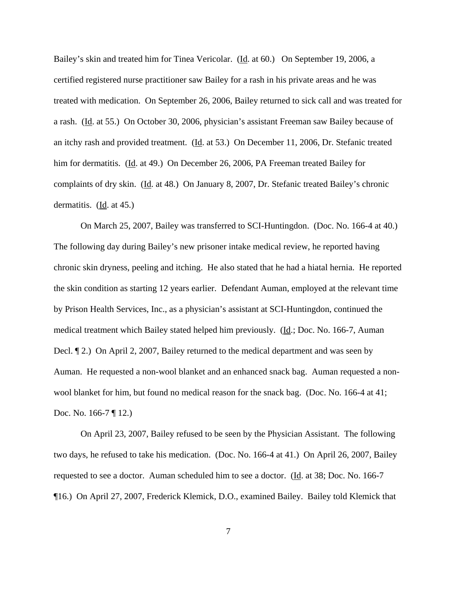Bailey's skin and treated him for Tinea Vericolar. (Id. at 60.) On September 19, 2006, a certified registered nurse practitioner saw Bailey for a rash in his private areas and he was treated with medication. On September 26, 2006, Bailey returned to sick call and was treated for a rash. (Id. at 55.) On October 30, 2006, physician's assistant Freeman saw Bailey because of an itchy rash and provided treatment. (Id. at 53.) On December 11, 2006, Dr. Stefanic treated him for dermatitis. (Id. at 49.) On December 26, 2006, PA Freeman treated Bailey for complaints of dry skin. (Id. at 48.) On January 8, 2007, Dr. Stefanic treated Bailey's chronic dermatitis.  $(\underline{Id}$ . at 45.)

On March 25, 2007, Bailey was transferred to SCI-Huntingdon. (Doc. No. 166-4 at 40.) The following day during Bailey's new prisoner intake medical review, he reported having chronic skin dryness, peeling and itching. He also stated that he had a hiatal hernia. He reported the skin condition as starting 12 years earlier. Defendant Auman, employed at the relevant time by Prison Health Services, Inc., as a physician's assistant at SCI-Huntingdon, continued the medical treatment which Bailey stated helped him previously. (Id.; Doc. No. 166-7, Auman Decl. ¶ 2.) On April 2, 2007, Bailey returned to the medical department and was seen by Auman. He requested a non-wool blanket and an enhanced snack bag. Auman requested a nonwool blanket for him, but found no medical reason for the snack bag. (Doc. No. 166-4 at 41; Doc. No. 166-7 ¶ 12.)

On April 23, 2007, Bailey refused to be seen by the Physician Assistant. The following two days, he refused to take his medication. (Doc. No. 166-4 at 41.) On April 26, 2007, Bailey requested to see a doctor. Auman scheduled him to see a doctor. (Id. at 38; Doc. No. 166-7 ¶16.) On April 27, 2007, Frederick Klemick, D.O., examined Bailey. Bailey told Klemick that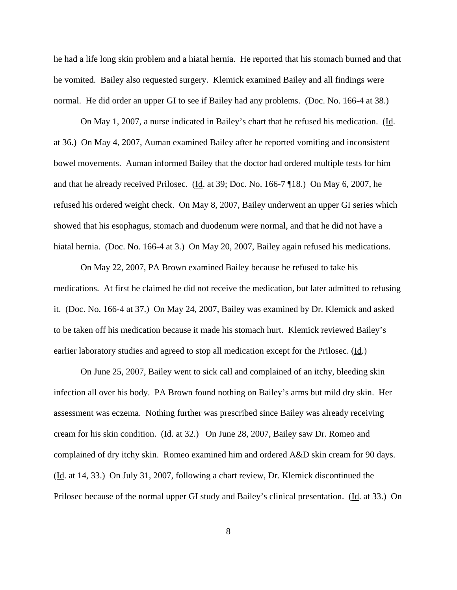he had a life long skin problem and a hiatal hernia. He reported that his stomach burned and that he vomited. Bailey also requested surgery. Klemick examined Bailey and all findings were normal. He did order an upper GI to see if Bailey had any problems. (Doc. No. 166-4 at 38.)

On May 1, 2007, a nurse indicated in Bailey's chart that he refused his medication. (Id. at 36.) On May 4, 2007, Auman examined Bailey after he reported vomiting and inconsistent bowel movements. Auman informed Bailey that the doctor had ordered multiple tests for him and that he already received Prilosec. (Id. at 39; Doc. No. 166-7 ¶18.) On May 6, 2007, he refused his ordered weight check. On May 8, 2007, Bailey underwent an upper GI series which showed that his esophagus, stomach and duodenum were normal, and that he did not have a hiatal hernia. (Doc. No. 166-4 at 3.) On May 20, 2007, Bailey again refused his medications.

On May 22, 2007, PA Brown examined Bailey because he refused to take his medications. At first he claimed he did not receive the medication, but later admitted to refusing it. (Doc. No. 166-4 at 37.) On May 24, 2007, Bailey was examined by Dr. Klemick and asked to be taken off his medication because it made his stomach hurt. Klemick reviewed Bailey's earlier laboratory studies and agreed to stop all medication except for the Prilosec. (Id.)

On June 25, 2007, Bailey went to sick call and complained of an itchy, bleeding skin infection all over his body. PA Brown found nothing on Bailey's arms but mild dry skin. Her assessment was eczema. Nothing further was prescribed since Bailey was already receiving cream for his skin condition. (Id. at 32.) On June 28, 2007, Bailey saw Dr. Romeo and complained of dry itchy skin. Romeo examined him and ordered A&D skin cream for 90 days. (Id. at 14, 33.) On July 31, 2007, following a chart review, Dr. Klemick discontinued the Prilosec because of the normal upper GI study and Bailey's clinical presentation. (Id. at 33.) On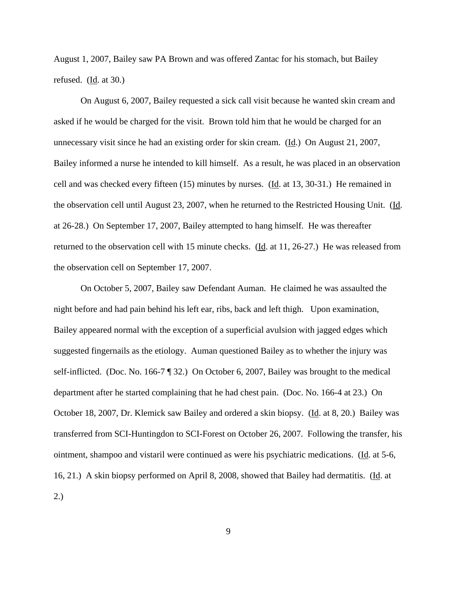August 1, 2007, Bailey saw PA Brown and was offered Zantac for his stomach, but Bailey refused.  $(\underline{Id}$ . at 30.)

On August 6, 2007, Bailey requested a sick call visit because he wanted skin cream and asked if he would be charged for the visit. Brown told him that he would be charged for an unnecessary visit since he had an existing order for skin cream. (Id.) On August 21, 2007, Bailey informed a nurse he intended to kill himself. As a result, he was placed in an observation cell and was checked every fifteen (15) minutes by nurses. (Id. at 13, 30-31.) He remained in the observation cell until August 23, 2007, when he returned to the Restricted Housing Unit. (Id. at 26-28.) On September 17, 2007, Bailey attempted to hang himself. He was thereafter returned to the observation cell with 15 minute checks. (Id. at 11, 26-27.) He was released from the observation cell on September 17, 2007.

On October 5, 2007, Bailey saw Defendant Auman. He claimed he was assaulted the night before and had pain behind his left ear, ribs, back and left thigh. Upon examination, Bailey appeared normal with the exception of a superficial avulsion with jagged edges which suggested fingernails as the etiology. Auman questioned Bailey as to whether the injury was self-inflicted. (Doc. No. 166-7 ¶ 32.) On October 6, 2007, Bailey was brought to the medical department after he started complaining that he had chest pain. (Doc. No. 166-4 at 23.) On October 18, 2007, Dr. Klemick saw Bailey and ordered a skin biopsy. (Id. at 8, 20.) Bailey was transferred from SCI-Huntingdon to SCI-Forest on October 26, 2007. Following the transfer, his ointment, shampoo and vistaril were continued as were his psychiatric medications. (Id. at 5-6, 16, 21.) A skin biopsy performed on April 8, 2008, showed that Bailey had dermatitis. (Id. at 2.)

9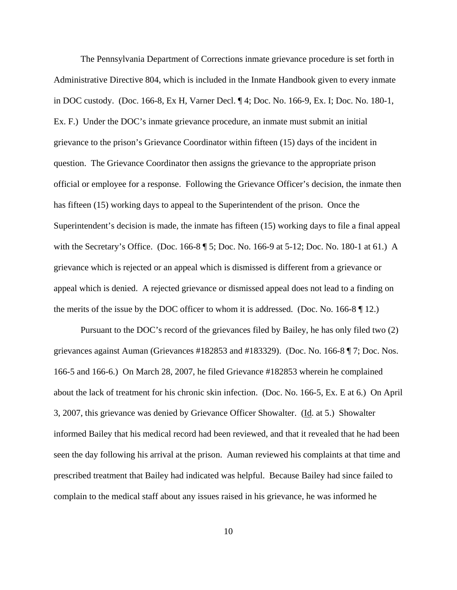The Pennsylvania Department of Corrections inmate grievance procedure is set forth in Administrative Directive 804, which is included in the Inmate Handbook given to every inmate in DOC custody. (Doc. 166-8, Ex H, Varner Decl. ¶ 4; Doc. No. 166-9, Ex. I; Doc. No. 180-1, Ex. F.) Under the DOC's inmate grievance procedure, an inmate must submit an initial grievance to the prison's Grievance Coordinator within fifteen (15) days of the incident in question. The Grievance Coordinator then assigns the grievance to the appropriate prison official or employee for a response. Following the Grievance Officer's decision, the inmate then has fifteen (15) working days to appeal to the Superintendent of the prison. Once the Superintendent's decision is made, the inmate has fifteen (15) working days to file a final appeal with the Secretary's Office. (Doc. 166-8 ¶ 5; Doc. No. 166-9 at 5-12; Doc. No. 180-1 at 61.) A grievance which is rejected or an appeal which is dismissed is different from a grievance or appeal which is denied. A rejected grievance or dismissed appeal does not lead to a finding on the merits of the issue by the DOC officer to whom it is addressed. (Doc. No. 166-8 ¶ 12.)

 Pursuant to the DOC's record of the grievances filed by Bailey, he has only filed two (2) grievances against Auman (Grievances #182853 and #183329). (Doc. No. 166-8 ¶ 7; Doc. Nos. 166-5 and 166-6.) On March 28, 2007, he filed Grievance #182853 wherein he complained about the lack of treatment for his chronic skin infection. (Doc. No. 166-5, Ex. E at 6.) On April 3, 2007, this grievance was denied by Grievance Officer Showalter. ( $\underline{Id}$ . at 5.) Showalter informed Bailey that his medical record had been reviewed, and that it revealed that he had been seen the day following his arrival at the prison. Auman reviewed his complaints at that time and prescribed treatment that Bailey had indicated was helpful. Because Bailey had since failed to complain to the medical staff about any issues raised in his grievance, he was informed he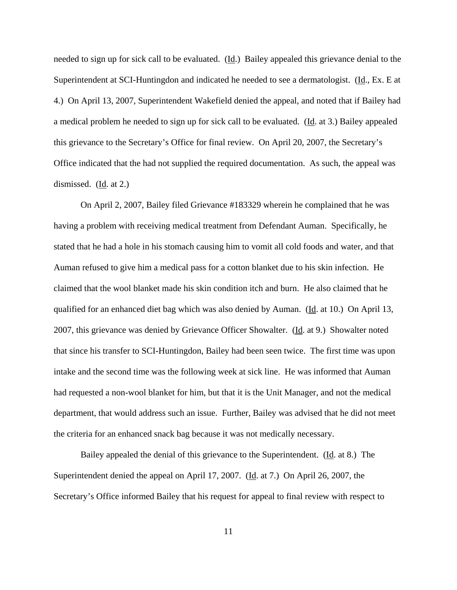needed to sign up for sick call to be evaluated.  $(\underline{Id})$  Bailey appealed this grievance denial to the Superintendent at SCI-Huntingdon and indicated he needed to see a dermatologist. (Id., Ex. E at 4.) On April 13, 2007, Superintendent Wakefield denied the appeal, and noted that if Bailey had a medical problem he needed to sign up for sick call to be evaluated. (Id. at 3.) Bailey appealed this grievance to the Secretary's Office for final review. On April 20, 2007, the Secretary's Office indicated that the had not supplied the required documentation. As such, the appeal was dismissed. (Id. at 2.)

On April 2, 2007, Bailey filed Grievance #183329 wherein he complained that he was having a problem with receiving medical treatment from Defendant Auman. Specifically, he stated that he had a hole in his stomach causing him to vomit all cold foods and water, and that Auman refused to give him a medical pass for a cotton blanket due to his skin infection. He claimed that the wool blanket made his skin condition itch and burn. He also claimed that he qualified for an enhanced diet bag which was also denied by Auman. (Id. at 10.) On April 13, 2007, this grievance was denied by Grievance Officer Showalter. (Id. at 9.) Showalter noted that since his transfer to SCI-Huntingdon, Bailey had been seen twice. The first time was upon intake and the second time was the following week at sick line. He was informed that Auman had requested a non-wool blanket for him, but that it is the Unit Manager, and not the medical department, that would address such an issue. Further, Bailey was advised that he did not meet the criteria for an enhanced snack bag because it was not medically necessary.

Bailey appealed the denial of this grievance to the Superintendent. (Id. at 8.) The Superintendent denied the appeal on April 17, 2007. (Id. at 7.) On April 26, 2007, the Secretary's Office informed Bailey that his request for appeal to final review with respect to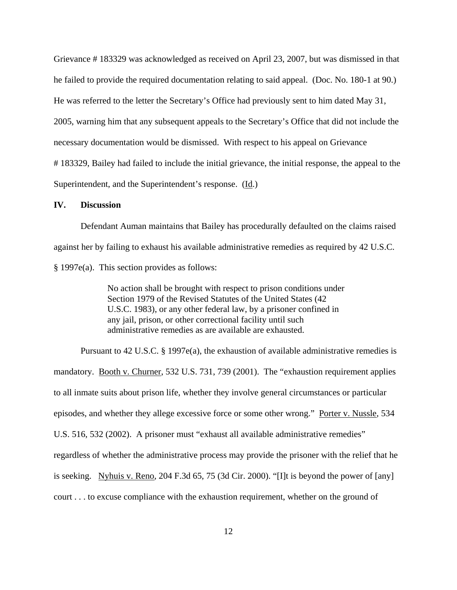Grievance # 183329 was acknowledged as received on April 23, 2007, but was dismissed in that he failed to provide the required documentation relating to said appeal. (Doc. No. 180-1 at 90.) He was referred to the letter the Secretary's Office had previously sent to him dated May 31, 2005, warning him that any subsequent appeals to the Secretary's Office that did not include the necessary documentation would be dismissed. With respect to his appeal on Grievance # 183329, Bailey had failed to include the initial grievance, the initial response, the appeal to the Superintendent, and the Superintendent's response. (Id.)

#### **IV. Discussion**

Defendant Auman maintains that Bailey has procedurally defaulted on the claims raised against her by failing to exhaust his available administrative remedies as required by 42 U.S.C. § 1997e(a). This section provides as follows:

> No action shall be brought with respect to prison conditions under Section 1979 of the Revised Statutes of the United States (42 U.S.C. 1983), or any other federal law, by a prisoner confined in any jail, prison, or other correctional facility until such administrative remedies as are available are exhausted.

Pursuant to 42 U.S.C. § 1997e(a), the exhaustion of available administrative remedies is mandatory. Booth v. Churner, 532 U.S. 731, 739 (2001). The "exhaustion requirement applies to all inmate suits about prison life, whether they involve general circumstances or particular episodes, and whether they allege excessive force or some other wrong." Porter v. Nussle, 534 U.S. 516, 532 (2002). A prisoner must "exhaust all available administrative remedies" regardless of whether the administrative process may provide the prisoner with the relief that he is seeking. Nyhuis v. Reno, 204 F.3d 65, 75 (3d Cir. 2000). "[I]t is beyond the power of [any] court . . . to excuse compliance with the exhaustion requirement, whether on the ground of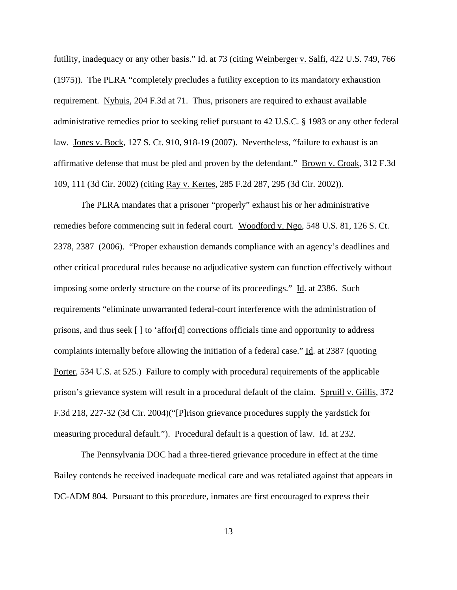futility, inadequacy or any other basis." Id. at 73 (citing Weinberger v. Salfi, 422 U.S. 749, 766 (1975)). The PLRA "completely precludes a futility exception to its mandatory exhaustion requirement. Nyhuis, 204 F.3d at 71. Thus, prisoners are required to exhaust available administrative remedies prior to seeking relief pursuant to 42 U.S.C. § 1983 or any other federal law. Jones v. Bock, 127 S. Ct. 910, 918-19 (2007). Nevertheless, "failure to exhaust is an affirmative defense that must be pled and proven by the defendant." Brown v. Croak, 312 F.3d 109, 111 (3d Cir. 2002) (citing Ray v. Kertes, 285 F.2d 287, 295 (3d Cir. 2002)).

The PLRA mandates that a prisoner "properly" exhaust his or her administrative remedies before commencing suit in federal court. Woodford v. Ngo, 548 U.S. 81, 126 S. Ct. 2378, 2387 (2006). "Proper exhaustion demands compliance with an agency's deadlines and other critical procedural rules because no adjudicative system can function effectively without imposing some orderly structure on the course of its proceedings." Id. at 2386. Such requirements "eliminate unwarranted federal-court interference with the administration of prisons, and thus seek [ ] to 'affor[d] corrections officials time and opportunity to address complaints internally before allowing the initiation of a federal case." Id. at 2387 (quoting Porter, 534 U.S. at 525.) Failure to comply with procedural requirements of the applicable prison's grievance system will result in a procedural default of the claim. Spruill v. Gillis, 372 F.3d 218, 227-32 (3d Cir. 2004)("[P]rison grievance procedures supply the yardstick for measuring procedural default."). Procedural default is a question of law. Id. at 232.

The Pennsylvania DOC had a three-tiered grievance procedure in effect at the time Bailey contends he received inadequate medical care and was retaliated against that appears in DC-ADM 804. Pursuant to this procedure, inmates are first encouraged to express their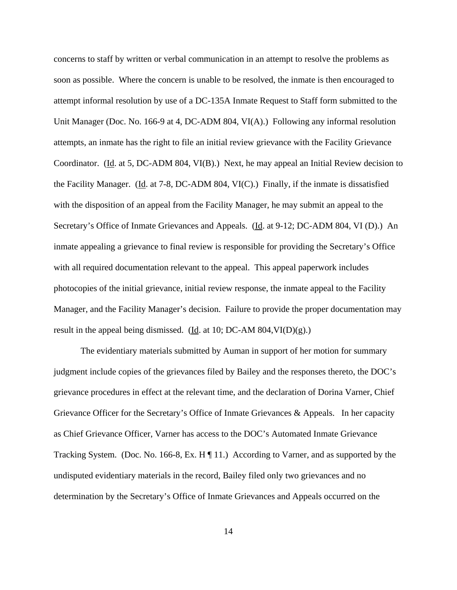concerns to staff by written or verbal communication in an attempt to resolve the problems as soon as possible. Where the concern is unable to be resolved, the inmate is then encouraged to attempt informal resolution by use of a DC-135A Inmate Request to Staff form submitted to the Unit Manager (Doc. No. 166-9 at 4, DC-ADM 804, VI(A).) Following any informal resolution attempts, an inmate has the right to file an initial review grievance with the Facility Grievance Coordinator. (Id. at 5, DC-ADM 804, VI(B).) Next, he may appeal an Initial Review decision to the Facility Manager. (Id. at 7-8, DC-ADM 804, VI(C).) Finally, if the inmate is dissatisfied with the disposition of an appeal from the Facility Manager, he may submit an appeal to the Secretary's Office of Inmate Grievances and Appeals. (Id. at 9-12; DC-ADM 804, VI (D).) An inmate appealing a grievance to final review is responsible for providing the Secretary's Office with all required documentation relevant to the appeal. This appeal paperwork includes photocopies of the initial grievance, initial review response, the inmate appeal to the Facility Manager, and the Facility Manager's decision. Failure to provide the proper documentation may result in the appeal being dismissed. (Id. at 10; DC-AM  $804$ , VI(D)(g).)

The evidentiary materials submitted by Auman in support of her motion for summary judgment include copies of the grievances filed by Bailey and the responses thereto, the DOC's grievance procedures in effect at the relevant time, and the declaration of Dorina Varner, Chief Grievance Officer for the Secretary's Office of Inmate Grievances & Appeals. In her capacity as Chief Grievance Officer, Varner has access to the DOC's Automated Inmate Grievance Tracking System. (Doc. No. 166-8, Ex. H ¶ 11.) According to Varner, and as supported by the undisputed evidentiary materials in the record, Bailey filed only two grievances and no determination by the Secretary's Office of Inmate Grievances and Appeals occurred on the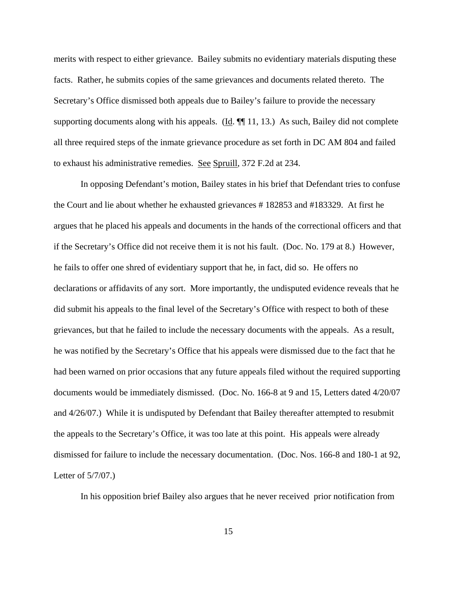merits with respect to either grievance. Bailey submits no evidentiary materials disputing these facts. Rather, he submits copies of the same grievances and documents related thereto. The Secretary's Office dismissed both appeals due to Bailey's failure to provide the necessary supporting documents along with his appeals. ( $\underline{Id}$ .  $\P\P$  11, 13.) As such, Bailey did not complete all three required steps of the inmate grievance procedure as set forth in DC AM 804 and failed to exhaust his administrative remedies. See Spruill, 372 F.2d at 234.

In opposing Defendant's motion, Bailey states in his brief that Defendant tries to confuse the Court and lie about whether he exhausted grievances # 182853 and #183329. At first he argues that he placed his appeals and documents in the hands of the correctional officers and that if the Secretary's Office did not receive them it is not his fault. (Doc. No. 179 at 8.) However, he fails to offer one shred of evidentiary support that he, in fact, did so. He offers no declarations or affidavits of any sort. More importantly, the undisputed evidence reveals that he did submit his appeals to the final level of the Secretary's Office with respect to both of these grievances, but that he failed to include the necessary documents with the appeals. As a result, he was notified by the Secretary's Office that his appeals were dismissed due to the fact that he had been warned on prior occasions that any future appeals filed without the required supporting documents would be immediately dismissed. (Doc. No. 166-8 at 9 and 15, Letters dated 4/20/07 and 4/26/07.) While it is undisputed by Defendant that Bailey thereafter attempted to resubmit the appeals to the Secretary's Office, it was too late at this point. His appeals were already dismissed for failure to include the necessary documentation. (Doc. Nos. 166-8 and 180-1 at 92, Letter of 5/7/07.)

In his opposition brief Bailey also argues that he never received prior notification from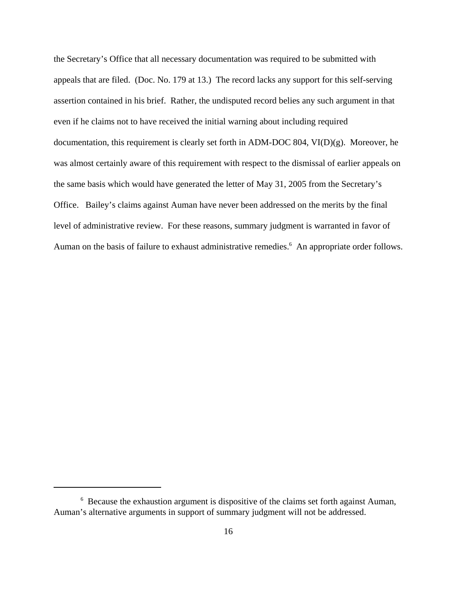the Secretary's Office that all necessary documentation was required to be submitted with appeals that are filed. (Doc. No. 179 at 13.) The record lacks any support for this self-serving assertion contained in his brief. Rather, the undisputed record belies any such argument in that even if he claims not to have received the initial warning about including required documentation, this requirement is clearly set forth in ADM-DOC 804, VI(D)(g). Moreover, he was almost certainly aware of this requirement with respect to the dismissal of earlier appeals on the same basis which would have generated the letter of May 31, 2005 from the Secretary's Office. Bailey's claims against Auman have never been addressed on the merits by the final level of administrative review. For these reasons, summary judgment is warranted in favor of Auman on the basis of failure to exhaust administrative remedies.<sup>6</sup> An appropriate order follows.

<sup>&</sup>lt;sup>6</sup> Because the exhaustion argument is dispositive of the claims set forth against Auman, Auman's alternative arguments in support of summary judgment will not be addressed.